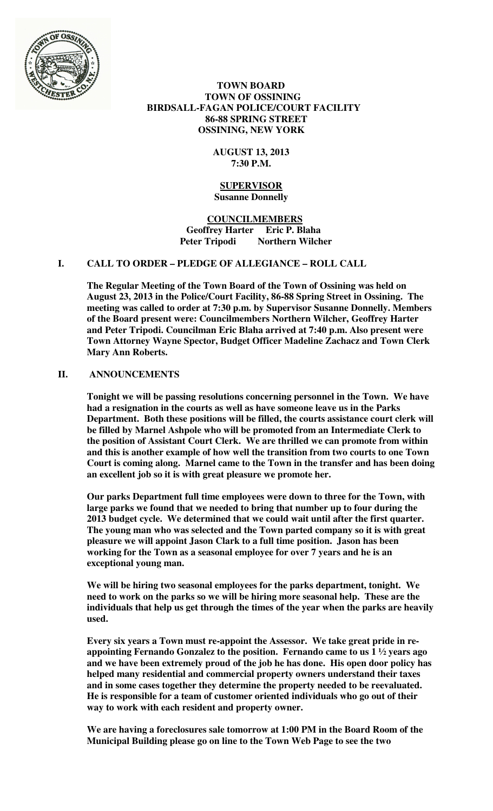

### **TOWN BOARD TOWN OF OSSINING BIRDSALL-FAGAN POLICE/COURT FACILITY 86-88 SPRING STREET OSSINING, NEW YORK**

## **AUGUST 13, 2013 7:30 P.M.**

### **SUPERVISOR Susanne Donnelly**

 **COUNCILMEMBERS Geoffrey Harter Eric P. Blaha Peter Tripodi Northern Wilcher** 

# **I. CALL TO ORDER – PLEDGE OF ALLEGIANCE – ROLL CALL**

**The Regular Meeting of the Town Board of the Town of Ossining was held on August 23, 2013 in the Police/Court Facility, 86-88 Spring Street in Ossining. The meeting was called to order at 7:30 p.m. by Supervisor Susanne Donnelly. Members of the Board present were: Councilmembers Northern Wilcher, Geoffrey Harter and Peter Tripodi. Councilman Eric Blaha arrived at 7:40 p.m. Also present were Town Attorney Wayne Spector, Budget Officer Madeline Zachacz and Town Clerk Mary Ann Roberts.** 

# **II. ANNOUNCEMENTS**

**Tonight we will be passing resolutions concerning personnel in the Town. We have had a resignation in the courts as well as have someone leave us in the Parks Department. Both these positions will be filled, the courts assistance court clerk will be filled by Marnel Ashpole who will be promoted from an Intermediate Clerk to the position of Assistant Court Clerk. We are thrilled we can promote from within and this is another example of how well the transition from two courts to one Town Court is coming along. Marnel came to the Town in the transfer and has been doing an excellent job so it is with great pleasure we promote her.** 

**Our parks Department full time employees were down to three for the Town, with large parks we found that we needed to bring that number up to four during the 2013 budget cycle. We determined that we could wait until after the first quarter. The young man who was selected and the Town parted company so it is with great pleasure we will appoint Jason Clark to a full time position. Jason has been working for the Town as a seasonal employee for over 7 years and he is an exceptional young man.** 

**We will be hiring two seasonal employees for the parks department, tonight. We need to work on the parks so we will be hiring more seasonal help. These are the individuals that help us get through the times of the year when the parks are heavily used.** 

**Every six years a Town must re-appoint the Assessor. We take great pride in reappointing Fernando Gonzalez to the position. Fernando came to us 1 ½ years ago and we have been extremely proud of the job he has done. His open door policy has helped many residential and commercial property owners understand their taxes and in some cases together they determine the property needed to be reevaluated. He is responsible for a team of customer oriented individuals who go out of their way to work with each resident and property owner.** 

**We are having a foreclosures sale tomorrow at 1:00 PM in the Board Room of the Municipal Building please go on line to the Town Web Page to see the two**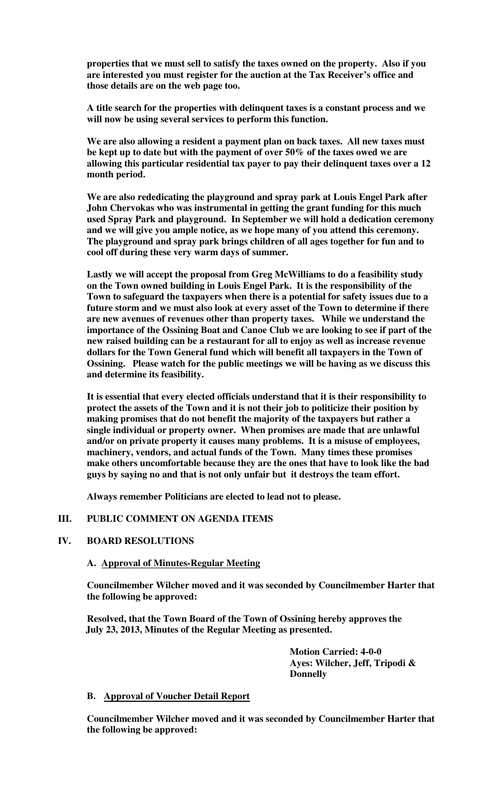**properties that we must sell to satisfy the taxes owned on the property. Also if you are interested you must register for the auction at the Tax Receiver's office and those details are on the web page too.** 

**A title search for the properties with delinquent taxes is a constant process and we will now be using several services to perform this function.** 

**We are also allowing a resident a payment plan on back taxes. All new taxes must be kept up to date but with the payment of over 50% of the taxes owed we are allowing this particular residential tax payer to pay their delinquent taxes over a 12 month period.** 

**We are also rededicating the playground and spray park at Louis Engel Park after John Chervokas who was instrumental in getting the grant funding for this much used Spray Park and playground. In September we will hold a dedication ceremony and we will give you ample notice, as we hope many of you attend this ceremony. The playground and spray park brings children of all ages together for fun and to cool off during these very warm days of summer.** 

**Lastly we will accept the proposal from Greg McWilliams to do a feasibility study on the Town owned building in Louis Engel Park. It is the responsibility of the Town to safeguard the taxpayers when there is a potential for safety issues due to a future storm and we must also look at every asset of the Town to determine if there are new avenues of revenues other than property taxes. While we understand the importance of the Ossining Boat and Canoe Club we are looking to see if part of the new raised building can be a restaurant for all to enjoy as well as increase revenue dollars for the Town General fund which will benefit all taxpayers in the Town of Ossining. Please watch for the public meetings we will be having as we discuss this and determine its feasibility.** 

**It is essential that every elected officials understand that it is their responsibility to protect the assets of the Town and it is not their job to politicize their position by making promises that do not benefit the majority of the taxpayers but rather a single individual or property owner. When promises are made that are unlawful and/or on private property it causes many problems. It is a misuse of employees, machinery, vendors, and actual funds of the Town. Many times these promises make others uncomfortable because they are the ones that have to look like the bad guys by saying no and that is not only unfair but it destroys the team effort.** 

**Always remember Politicians are elected to lead not to please.** 

### **III. PUBLIC COMMENT ON AGENDA ITEMS**

### **IV. BOARD RESOLUTIONS**

### **A. Approval of Minutes-Regular Meeting**

**Councilmember Wilcher moved and it was seconded by Councilmember Harter that the following be approved:** 

**Resolved, that the Town Board of the Town of Ossining hereby approves the July 23, 2013, Minutes of the Regular Meeting as presented.** 

> **Motion Carried: 4-0-0 Ayes: Wilcher, Jeff, Tripodi & Donnelly**

### **B. Approval of Voucher Detail Report**

**Councilmember Wilcher moved and it was seconded by Councilmember Harter that the following be approved:**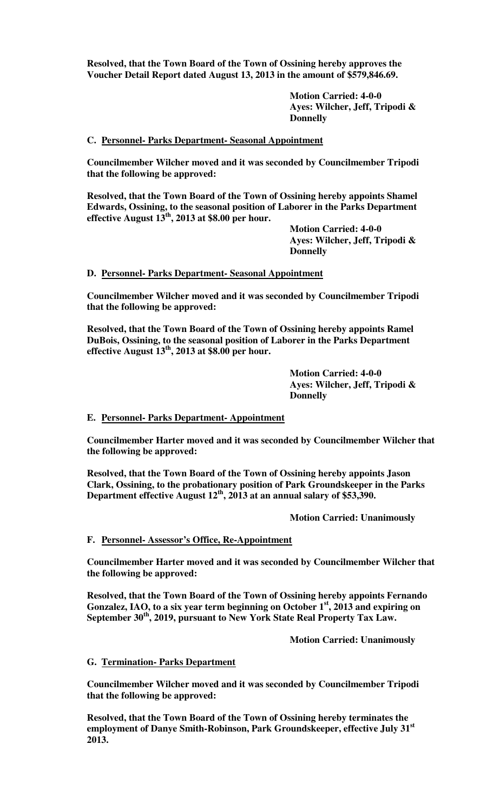**Resolved, that the Town Board of the Town of Ossining hereby approves the Voucher Detail Report dated August 13, 2013 in the amount of \$579,846.69.** 

> **Motion Carried: 4-0-0 Ayes: Wilcher, Jeff, Tripodi & Donnelly**

### **C. Personnel- Parks Department- Seasonal Appointment**

**Councilmember Wilcher moved and it was seconded by Councilmember Tripodi that the following be approved:** 

**Resolved, that the Town Board of the Town of Ossining hereby appoints Shamel Edwards, Ossining, to the seasonal position of Laborer in the Parks Department effective August 13th, 2013 at \$8.00 per hour.** 

> **Motion Carried: 4-0-0 Ayes: Wilcher, Jeff, Tripodi & Donnelly**

### **D. Personnel- Parks Department- Seasonal Appointment**

**Councilmember Wilcher moved and it was seconded by Councilmember Tripodi that the following be approved:** 

**Resolved, that the Town Board of the Town of Ossining hereby appoints Ramel DuBois, Ossining, to the seasonal position of Laborer in the Parks Department effective August 13th, 2013 at \$8.00 per hour.** 

> **Motion Carried: 4-0-0 Ayes: Wilcher, Jeff, Tripodi & Donnelly**

### **E. Personnel- Parks Department- Appointment**

**Councilmember Harter moved and it was seconded by Councilmember Wilcher that the following be approved:** 

**Resolved, that the Town Board of the Town of Ossining hereby appoints Jason Clark, Ossining, to the probationary position of Park Groundskeeper in the Parks Department effective August 12th, 2013 at an annual salary of \$53,390.** 

 **Motion Carried: Unanimously** 

### **F. Personnel- Assessor's Office, Re-Appointment**

**Councilmember Harter moved and it was seconded by Councilmember Wilcher that the following be approved:** 

**Resolved, that the Town Board of the Town of Ossining hereby appoints Fernando Gonzalez, IAO, to a six year term beginning on October 1st, 2013 and expiring on September 30th, 2019, pursuant to New York State Real Property Tax Law.** 

 **Motion Carried: Unanimously**

### **G. Termination- Parks Department**

**Councilmember Wilcher moved and it was seconded by Councilmember Tripodi that the following be approved:** 

**Resolved, that the Town Board of the Town of Ossining hereby terminates the employment of Danye Smith-Robinson, Park Groundskeeper, effective July 31st 2013.**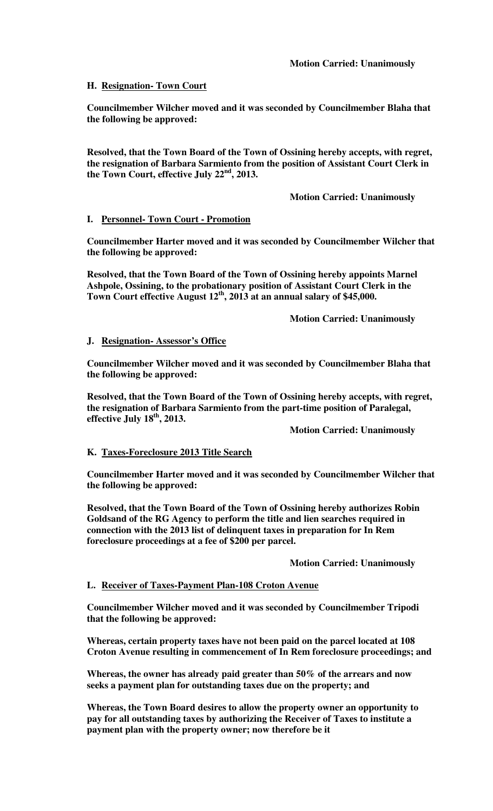# **H. Resignation- Town Court**

**Councilmember Wilcher moved and it was seconded by Councilmember Blaha that the following be approved:** 

**Resolved, that the Town Board of the Town of Ossining hereby accepts, with regret, the resignation of Barbara Sarmiento from the position of Assistant Court Clerk in the Town Court, effective July 22nd, 2013.** 

# **Motion Carried: Unanimously**

## **I. Personnel- Town Court - Promotion**

**Councilmember Harter moved and it was seconded by Councilmember Wilcher that the following be approved:** 

**Resolved, that the Town Board of the Town of Ossining hereby appoints Marnel Ashpole, Ossining, to the probationary position of Assistant Court Clerk in the Town Court effective August 12th, 2013 at an annual salary of \$45,000.** 

 **Motion Carried: Unanimously** 

## **J. Resignation- Assessor's Office**

**Councilmember Wilcher moved and it was seconded by Councilmember Blaha that the following be approved:** 

**Resolved, that the Town Board of the Town of Ossining hereby accepts, with regret, the resignation of Barbara Sarmiento from the part-time position of Paralegal, effective July 18th, 2013.** 

 **Motion Carried: Unanimously** 

## **K. Taxes-Foreclosure 2013 Title Search**

**Councilmember Harter moved and it was seconded by Councilmember Wilcher that the following be approved:** 

**Resolved, that the Town Board of the Town of Ossining hereby authorizes Robin Goldsand of the RG Agency to perform the title and lien searches required in connection with the 2013 list of delinquent taxes in preparation for In Rem foreclosure proceedings at a fee of \$200 per parcel.** 

 **Motion Carried: Unanimously** 

## **L. Receiver of Taxes-Payment Plan-108 Croton Avenue**

**Councilmember Wilcher moved and it was seconded by Councilmember Tripodi that the following be approved:** 

**Whereas, certain property taxes have not been paid on the parcel located at 108 Croton Avenue resulting in commencement of In Rem foreclosure proceedings; and** 

**Whereas, the owner has already paid greater than 50% of the arrears and now seeks a payment plan for outstanding taxes due on the property; and** 

**Whereas, the Town Board desires to allow the property owner an opportunity to pay for all outstanding taxes by authorizing the Receiver of Taxes to institute a payment plan with the property owner; now therefore be it**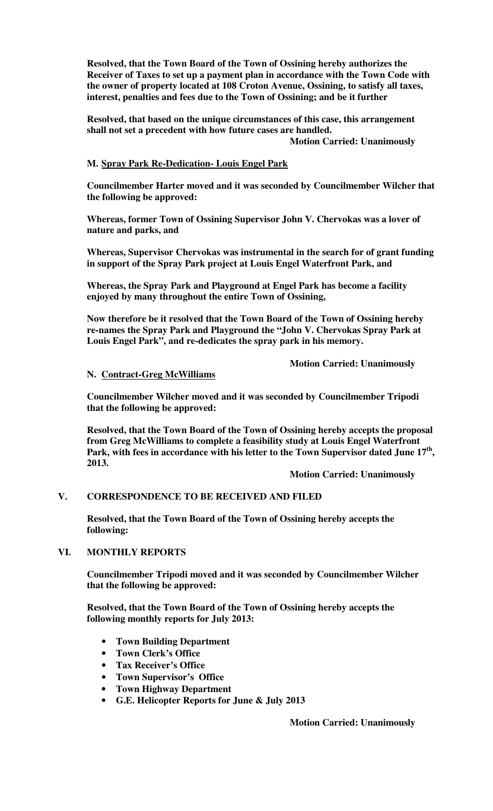**Resolved, that the Town Board of the Town of Ossining hereby authorizes the Receiver of Taxes to set up a payment plan in accordance with the Town Code with the owner of property located at 108 Croton Avenue, Ossining, to satisfy all taxes, interest, penalties and fees due to the Town of Ossining; and be it further** 

**Resolved, that based on the unique circumstances of this case, this arrangement shall not set a precedent with how future cases are handled.** 

 **Motion Carried: Unanimously** 

# **M. Spray Park Re-Dedication- Louis Engel Park**

**Councilmember Harter moved and it was seconded by Councilmember Wilcher that the following be approved:** 

**Whereas, former Town of Ossining Supervisor John V. Chervokas was a lover of nature and parks, and** 

**Whereas, Supervisor Chervokas was instrumental in the search for of grant funding in support of the Spray Park project at Louis Engel Waterfront Park, and** 

**Whereas, the Spray Park and Playground at Engel Park has become a facility enjoyed by many throughout the entire Town of Ossining,** 

**Now therefore be it resolved that the Town Board of the Town of Ossining hereby re-names the Spray Park and Playground the "John V. Chervokas Spray Park at Louis Engel Park", and re-dedicates the spray park in his memory.** 

 **Motion Carried: Unanimously** 

## **N. Contract-Greg McWilliams**

**Councilmember Wilcher moved and it was seconded by Councilmember Tripodi that the following be approved:** 

**Resolved, that the Town Board of the Town of Ossining hereby accepts the proposal from Greg McWilliams to complete a feasibility study at Louis Engel Waterfront**  Park, with fees in accordance with his letter to the Town Supervisor dated June 17<sup>th</sup>, **2013.** 

 **Motion Carried: Unanimously**

# **V. CORRESPONDENCE TO BE RECEIVED AND FILED**

**Resolved, that the Town Board of the Town of Ossining hereby accepts the following:** 

## **VI. MONTHLY REPORTS**

**Councilmember Tripodi moved and it was seconded by Councilmember Wilcher that the following be approved:** 

**Resolved, that the Town Board of the Town of Ossining hereby accepts the following monthly reports for July 2013:** 

- **Town Building Department**
- **Town Clerk's Office**
- **Tax Receiver's Office**
- **Town Supervisor's Office**
- **Town Highway Department**
- **G.E. Helicopter Reports for June & July 2013**

 **Motion Carried: Unanimously**